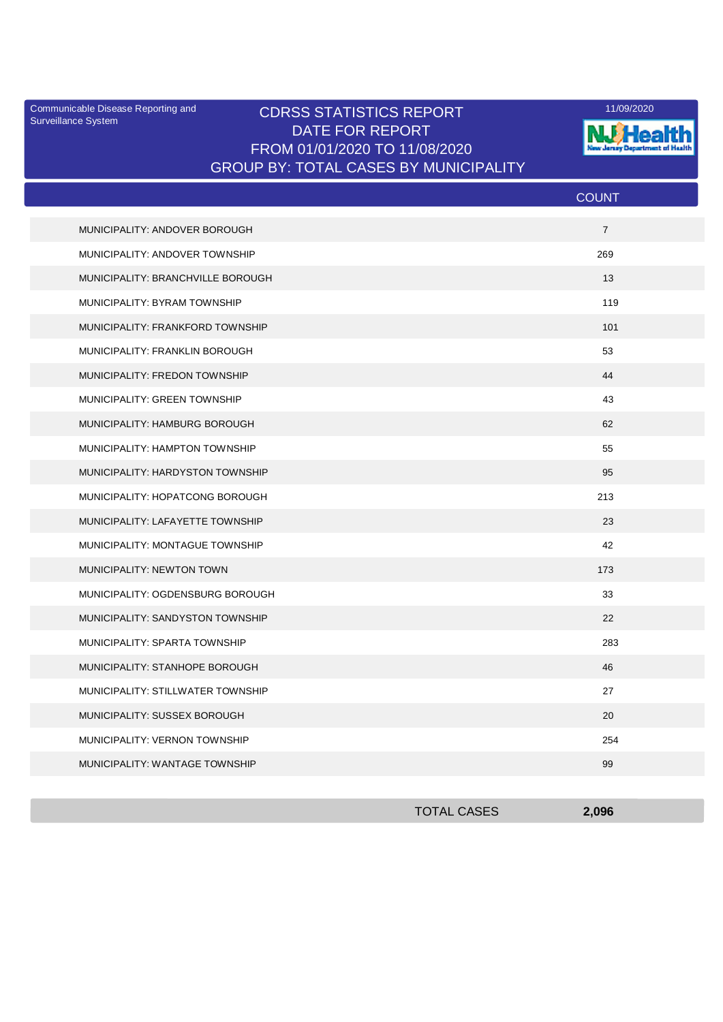Surveillance System

## Communicable Disease Reporting and **CDRSS STATISTICS REPORT** 11/09/2020<br>Surveillance Statem DATE FOR REPORT FROM 01/01/2020 TO 11/08/2020 GROUP BY: TOTAL CASES BY MUNICIPALITY



|                                   | <b>COUNT</b>   |
|-----------------------------------|----------------|
| MUNICIPALITY: ANDOVER BOROUGH     | $\overline{7}$ |
| MUNICIPALITY: ANDOVER TOWNSHIP    | 269            |
| MUNICIPALITY: BRANCHVILLE BOROUGH | 13             |
| MUNICIPALITY: BYRAM TOWNSHIP      | 119            |
| MUNICIPALITY: FRANKFORD TOWNSHIP  | 101            |
| MUNICIPALITY: FRANKLIN BOROUGH    | 53             |
| MUNICIPALITY: FREDON TOWNSHIP     | 44             |
| MUNICIPALITY: GREEN TOWNSHIP      | 43             |
| MUNICIPALITY: HAMBURG BOROUGH     | 62             |
| MUNICIPALITY: HAMPTON TOWNSHIP    | 55             |
| MUNICIPALITY: HARDYSTON TOWNSHIP  | 95             |
| MUNICIPALITY: HOPATCONG BOROUGH   | 213            |
| MUNICIPALITY: LAFAYETTE TOWNSHIP  | 23             |
| MUNICIPALITY: MONTAGUE TOWNSHIP   | 42             |
| MUNICIPALITY: NEWTON TOWN         | 173            |
| MUNICIPALITY: OGDENSBURG BOROUGH  | 33             |
| MUNICIPALITY: SANDYSTON TOWNSHIP  | 22             |
| MUNICIPALITY: SPARTA TOWNSHIP     | 283            |
| MUNICIPALITY: STANHOPE BOROUGH    | 46             |
| MUNICIPALITY: STILLWATER TOWNSHIP | 27             |
| MUNICIPALITY: SUSSEX BOROUGH      | 20             |
| MUNICIPALITY: VERNON TOWNSHIP     | 254            |
| MUNICIPALITY: WANTAGE TOWNSHIP    | 99             |

| <b>TOTAL CASES</b> | 2,096 |
|--------------------|-------|
|                    |       |